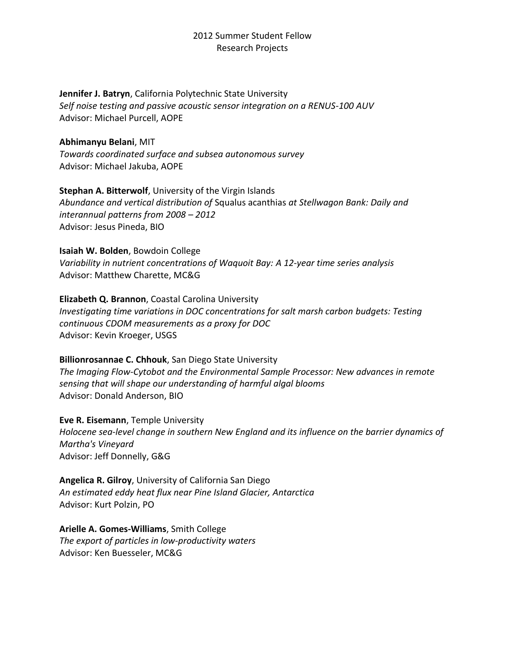### **Jennifer J. Batryn**, California Polytechnic State University

*Self noise testing and passive acoustic sensor integration on a RENUS-100 AUV* Advisor: Michael Purcell, AOPE

**Abhimanyu Belani**, MIT *Towards coordinated surface and subsea autonomous survey* Advisor: Michael Jakuba, AOPE

**Stephan A. Bitterwolf**, University of the Virgin Islands *Abundance and vertical distribution of* Squalus acanthias *at Stellwagon Bank: Daily and interannual patterns from 2008 – 2012* Advisor: Jesus Pineda, BIO

### **Isaiah W. Bolden**, Bowdoin College

*Variability in nutrient concentrations of Waquoit Bay: A 12-year time series analysis* Advisor: Matthew Charette, MC&G

### **Elizabeth Q. Brannon**, Coastal Carolina University

*Investigating time variations in DOC concentrations for salt marsh carbon budgets: Testing continuous CDOM measurements as a proxy for DOC* Advisor: Kevin Kroeger, USGS

### **Billionrosannae C. Chhouk**, San Diego State University

*The Imaging Flow-Cytobot and the Environmental Sample Processor: New advances in remote sensing that will shape our understanding of harmful algal blooms* Advisor: Donald Anderson, BIO

**Eve R. Eisemann**, Temple University

*Holocene sea-level change in southern New England and its influence on the barrier dynamics of Martha's Vineyard* Advisor: Jeff Donnelly, G&G

**Angelica R. Gilroy**, University of California San Diego *An estimated eddy heat flux near Pine Island Glacier, Antarctica* Advisor: Kurt Polzin, PO

**Arielle A. Gomes-Williams**, Smith College *The export of particles in low-productivity waters* Advisor: Ken Buesseler, MC&G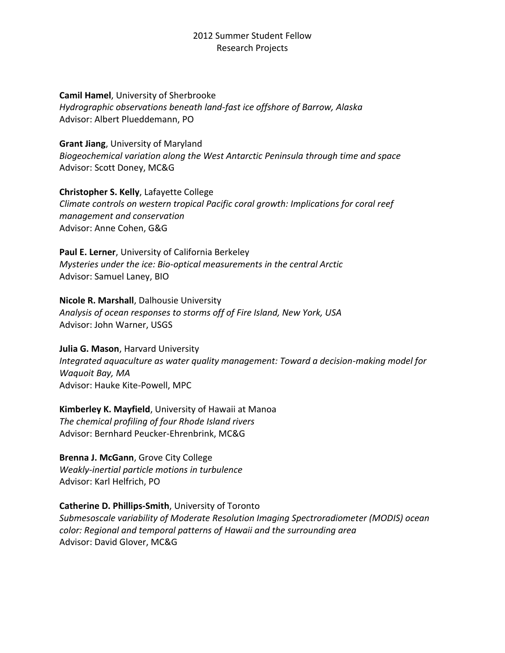**Camil Hamel**, University of Sherbrooke *Hydrographic observations beneath land-fast ice offshore of Barrow, Alaska* Advisor: Albert Plueddemann, PO

**Grant Jiang**, University of Maryland *Biogeochemical variation along the West Antarctic Peninsula through time and space* Advisor: Scott Doney, MC&G

**Christopher S. Kelly**, Lafayette College *Climate controls on western tropical Pacific coral growth: Implications for coral reef management and conservation* Advisor: Anne Cohen, G&G

**Paul E. Lerner**, University of California Berkeley *Mysteries under the ice: Bio-optical measurements in the central Arctic* Advisor: Samuel Laney, BIO

**Nicole R. Marshall**, Dalhousie University *Analysis of ocean responses to storms off of Fire Island, New York, USA* Advisor: John Warner, USGS

**Julia G. Mason**, Harvard University *Integrated aquaculture as water quality management: Toward a decision-making model for Waquoit Bay, MA* Advisor: Hauke Kite-Powell, MPC

**Kimberley K. Mayfield**, University of Hawaii at Manoa *The chemical profiling of four Rhode Island rivers* Advisor: Bernhard Peucker-Ehrenbrink, MC&G

**Brenna J. McGann**, Grove City College *Weakly-inertial particle motions in turbulence* Advisor: Karl Helfrich, PO

**Catherine D. Phillips-Smith**, University of Toronto *Submesoscale variability of Moderate Resolution Imaging Spectroradiometer (MODIS) ocean color: Regional and temporal patterns of Hawaii and the surrounding area* Advisor: David Glover, MC&G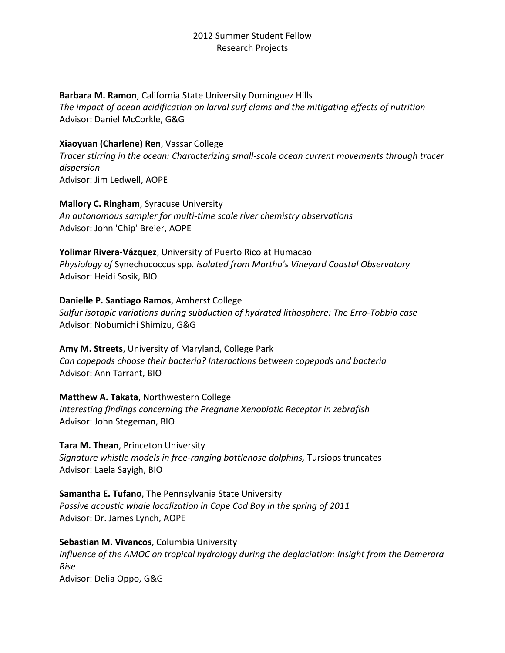**Barbara M. Ramon**, California State University Dominguez Hills

*The impact of ocean acidification on larval surf clams and the mitigating effects of nutrition* Advisor: Daniel McCorkle, G&G

# **Xiaoyuan (Charlene) Ren**, Vassar College

*Tracer stirring in the ocean: Characterizing small-scale ocean current movements through tracer dispersion* Advisor: Jim Ledwell, AOPE

**Mallory C. Ringham**, Syracuse University *An autonomous sampler for multi-time scale river chemistry observations* Advisor: John 'Chip' Breier, AOPE

**Yolimar Rivera-Vázquez**, University of Puerto Rico at Humacao *Physiology of* Synechococcus spp*. isolated from Martha's Vineyard Coastal Observatory* Advisor: Heidi Sosik, BIO

## **Danielle P. Santiago Ramos**, Amherst College

*Sulfur isotopic variations during subduction of hydrated lithosphere: The Erro-Tobbio case* Advisor: Nobumichi Shimizu, G&G

**Amy M. Streets**, University of Maryland, College Park *Can copepods choose their bacteria? Interactions between copepods and bacteria* Advisor: Ann Tarrant, BIO

**Matthew A. Takata**, Northwestern College *Interesting findings concerning the Pregnane Xenobiotic Receptor in zebrafish* Advisor: John Stegeman, BIO

**Tara M. Thean**, Princeton University *Signature whistle models in free-ranging bottlenose dolphins,* Tursiops truncates Advisor: Laela Sayigh, BIO

**Samantha E. Tufano**, The Pennsylvania State University *Passive acoustic whale localization in Cape Cod Bay in the spring of 2011* Advisor: Dr. James Lynch, AOPE

**Sebastian M. Vivancos**, Columbia University *Influence of the AMOC on tropical hydrology during the deglaciation: Insight from the Demerara Rise* Advisor: Delia Oppo, G&G